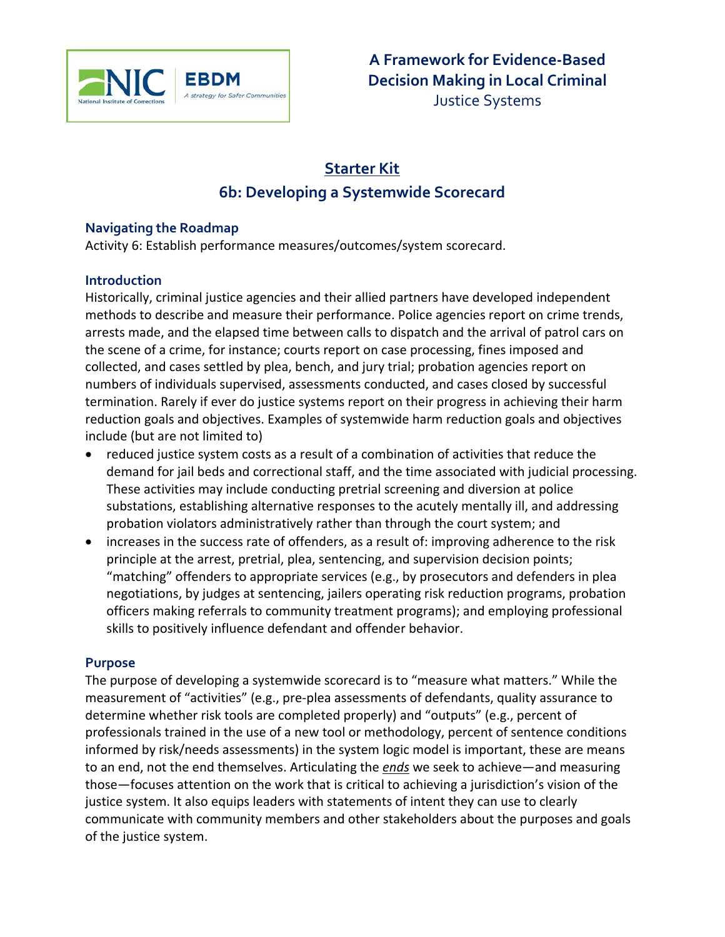

# **Starter Kit 6b: Developing a Systemwide Scorecard**

## **Navigating the Roadmap**

Activity 6: Establish performance measures/outcomes/system scorecard.

## **Introduction**

Historically, criminal justice agencies and their allied partners have developed independent methods to describe and measure their performance. Police agencies report on crime trends, arrests made, and the elapsed time between calls to dispatch and the arrival of patrol cars on the scene of a crime, for instance; courts report on case processing, fines imposed and collected, and cases settled by plea, bench, and jury trial; probation agencies report on numbers of individuals supervised, assessments conducted, and cases closed by successful termination. Rarely if ever do justice systems report on their progress in achieving their harm reduction goals and objectives. Examples of systemwide harm reduction goals and objectives include (but are not limited to)

- reduced justice system costs as a result of a combination of activities that reduce the demand for jail beds and correctional staff, and the time associated with judicial processing. These activities may include conducting pretrial screening and diversion at police substations, establishing alternative responses to the acutely mentally ill, and addressing probation violators administratively rather than through the court system; and
- increases in the success rate of offenders, as a result of: improving adherence to the risk principle at the arrest, pretrial, plea, sentencing, and supervision decision points; "matching" offenders to appropriate services (e.g., by prosecutors and defenders in plea negotiations, by judges at sentencing, jailers operating risk reduction programs, probation officers making referrals to community treatment programs); and employing professional skills to positively influence defendant and offender behavior.

## **Purpose**

The purpose of developing a systemwide scorecard is to "measure what matters." While the measurement of "activities" (e.g., pre-plea assessments of defendants, quality assurance to determine whether risk tools are completed properly) and "outputs" (e.g., percent of professionals trained in the use of a new tool or methodology, percent of sentence conditions informed by risk/needs assessments) in the system logic model is important, these are means to an end, not the end themselves. Articulating the *ends* we seek to achieve—and measuring those—focuses attention on the work that is critical to achieving a jurisdiction's vision of the justice system. It also equips leaders with statements of intent they can use to clearly communicate with community members and other stakeholders about the purposes and goals of the justice system.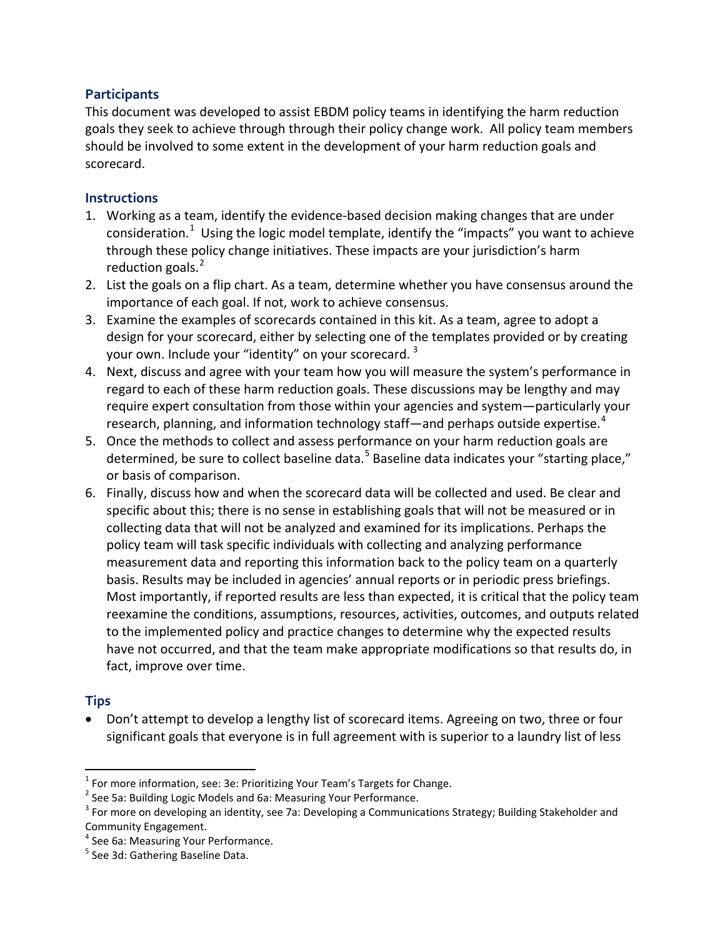## **Participants**

This document was developed to assist EBDM policy teams in identifying the harm reduction goals they seek to achieve through through their policy change work. All policy team members should be involved to some extent in the development of your harm reduction goals and scorecard.

### **Instructions**

- 1. Working as a team, identify the evidence-based decision making changes that are under consideration.<sup>[1](#page-1-0)</sup> Using the logic model template, identify the "impacts" you want to achieve through these policy change initiatives. These impacts are your jurisdiction's harm reduction goals.<sup>[2](#page-1-1)</sup>
- 2. List the goals on a flip chart. As a team, determine whether you have consensus around the importance of each goal. If not, work to achieve consensus.
- 3. Examine the examples of scorecards contained in this kit. As a team, agree to adopt a design for your scorecard, either by selecting one of the templates provided or by creating your own. Include your "identity" on your scorecard.<sup>[3](#page-1-2)</sup>
- 4. Next, discuss and agree with your team how you will measure the system's performance in regard to each of these harm reduction goals. These discussions may be lengthy and may require expert consultation from those within your agencies and system—particularly your research, planning, and information technology staff—and perhaps outside expertise.<sup>[4](#page-1-3)</sup>
- 5. Once the methods to collect and assess performance on your harm reduction goals are determined, be sure to collect baseline data.<sup>[5](#page-1-4)</sup> Baseline data indicates your "starting place," or basis of comparison.
- 6. Finally, discuss how and when the scorecard data will be collected and used. Be clear and specific about this; there is no sense in establishing goals that will not be measured or in collecting data that will not be analyzed and examined for its implications. Perhaps the policy team will task specific individuals with collecting and analyzing performance measurement data and reporting this information back to the policy team on a quarterly basis. Results may be included in agencies' annual reports or in periodic press briefings. Most importantly, if reported results are less than expected, it is critical that the policy team reexamine the conditions, assumptions, resources, activities, outcomes, and outputs related to the implemented policy and practice changes to determine why the expected results have not occurred, and that the team make appropriate modifications so that results do, in fact, improve over time.

## **Tips**

l

• Don't attempt to develop a lengthy list of scorecard items. Agreeing on two, three or four significant goals that everyone is in full agreement with is superior to a laundry list of less

<span id="page-1-0"></span><sup>&</sup>lt;sup>1</sup> For more information, see: 3e: Prioritizing Your Team's Targets for Change.<br><sup>2</sup> See 5a: Building Logic Models and 6a: Measuring Your Performance.

<span id="page-1-1"></span>

<span id="page-1-2"></span> $3$  For more on developing an identity, see 7a: Developing a Communications Strategy; Building Stakeholder and Community Engagement.<br><sup>4</sup> See 6a: Measuring Your Performance.

<span id="page-1-3"></span>

<span id="page-1-4"></span><sup>&</sup>lt;sup>5</sup> See 3d: Gathering Baseline Data.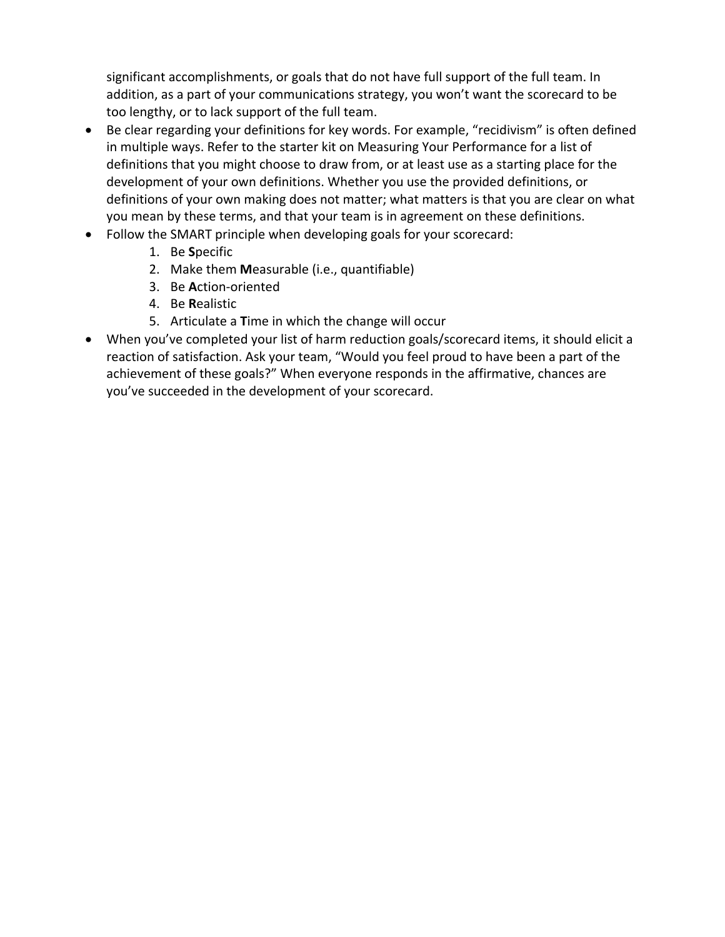significant accomplishments, or goals that do not have full support of the full team. In addition, as a part of your communications strategy, you won't want the scorecard to be too lengthy, or to lack support of the full team.

- Be clear regarding your definitions for key words. For example, "recidivism" is often defined in multiple ways. Refer to the starter kit on Measuring Your Performance for a list of definitions that you might choose to draw from, or at least use as a starting place for the development of your own definitions. Whether you use the provided definitions, or definitions of your own making does not matter; what matters is that you are clear on what you mean by these terms, and that your team is in agreement on these definitions.
- Follow the SMART principle when developing goals for your scorecard:
	- 1. Be **S**pecific
	- 2. Make them **M**easurable (i.e., quantifiable)
	- 3. Be **A**ction-oriented
	- 4. Be **R**ealistic
	- 5. Articulate a **T**ime in which the change will occur
- When you've completed your list of harm reduction goals/scorecard items, it should elicit a reaction of satisfaction. Ask your team, "Would you feel proud to have been a part of the achievement of these goals?" When everyone responds in the affirmative, chances are you've succeeded in the development of your scorecard.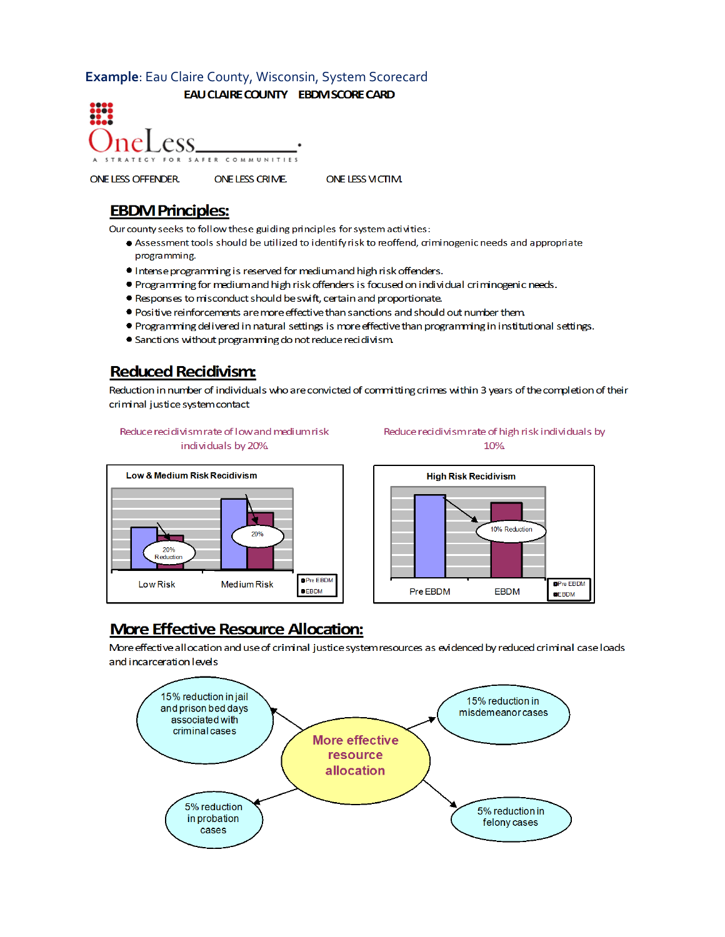### Example: Eau Claire County, Wisconsin, System Scorecard

EAU CLAIRE COUNTY EBDIVISCORE CARD

nel ess SAFER COMMUNIT

ONE LESS VICTIM. ONE LESS OFFENDER. ONE LESS CRIME.

## **EBDM Principles:**

Our county seeks to follow these guiding principles for system activities:

- ♦ Assessment tools should be utilized to identify risk to reoffend, criminogenic needs and appropriate programming.
- Intense programming is reserved for medium and high risk offenders.
- . Programming for medium and high risk offenders is focused on individual criminogenic needs.
- Responses to misconduct should be swift, certain and proportionate.
- . Positive reinforcements are more effective than sanctions and should out number them
- . Programming delivered in natural settings is more effective than programming in institutional settings.
- Sanctions without programming do not reduce recidivism

## **Reduced Recidivism:**

Reduction in number of individuals who are convicted of committing crimes within 3 years of the completion of their criminal justice system contact

#### Reduce recidivism rate of low and medium risk individuals by 20%

#### Reduce recidivism rate of high risk individuals by 10%





## **More Effective Resource Allocation:**

More effective allocation and use of criminal justice system resources as evidenced by reduced criminal case loads and incarceration levels

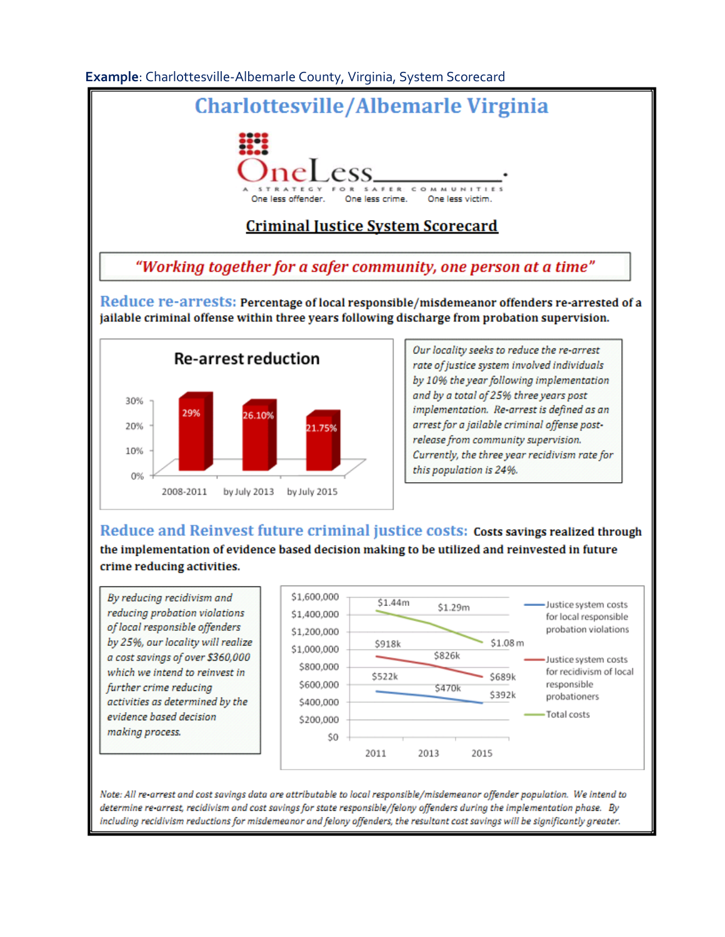### Example: Charlottesville-Albemarle County, Virginia, System Scorecard



## **Criminal Justice System Scorecard**

"Working together for a safer community, one person at a time"

Reduce re-arrests: Percentage of local responsible/misdemeanor offenders re-arrested of a jailable criminal offense within three years following discharge from probation supervision.



Our locality seeks to reduce the re-arrest rate of justice system involved individuals by 10% the year following implementation and by a total of 25% three years post implementation. Re-arrest is defined as an arrest for a jailable criminal offense postrelease from community supervision. Currently, the three year recidivism rate for this population is 24%.

Reduce and Reinvest future criminal justice costs: Costs savings realized through the implementation of evidence based decision making to be utilized and reinvested in future crime reducing activities.

By reducing recidivism and reducing probation violations of local responsible offenders by 25%, our locality will realize a cost savings of over \$360,000 which we intend to reinvest in further crime reducing activities as determined by the evidence based decision making process.



Note: All re-arrest and cost savings data are attributable to local responsible/misdemeanor offender population. We intend to determine re-arrest, recidivism and cost savings for state responsible/felony offenders during the implementation phase. By including recidivism reductions for misdemeanor and felony offenders, the resultant cost savings will be significantly greater.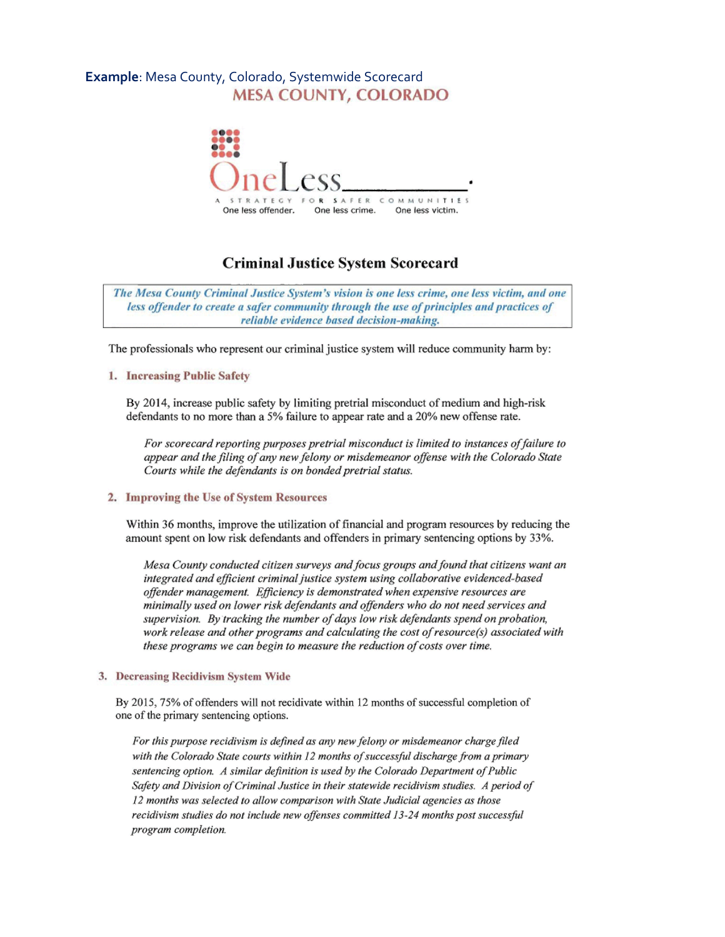## Example: Mesa County, Colorado, Systemwide Scorecard **MESA COUNTY, COLORADO**



## **Criminal Justice System Scorecard**

The Mesa County Criminal Justice System's vision is one less crime, one less victim, and one less offender to create a safer community through the use of principles and practices of reliable evidence based decision-making.

The professionals who represent our criminal justice system will reduce community harm by:

#### 1. Increasing Public Safety

By 2014, increase public safety by limiting pretrial misconduct of medium and high-risk defendants to no more than a 5% failure to appear rate and a 20% new offense rate.

For scorecard reporting purposes pretrial misconduct is limited to instances of failure to appear and the filing of any new felony or misdemeanor offense with the Colorado State Courts while the defendants is on bonded pretrial status.

#### 2. Improving the Use of System Resources

Within 36 months, improve the utilization of financial and program resources by reducing the amount spent on low risk defendants and offenders in primary sentencing options by 33%.

Mesa County conducted citizen surveys and focus groups and found that citizens want an integrated and efficient criminal justice system using collaborative evidenced-based offender management. Efficiency is demonstrated when expensive resources are minimally used on lower risk defendants and offenders who do not need services and supervision. By tracking the number of days low risk defendants spend on probation, work release and other programs and calculating the cost of resource(s) associated with these programs we can begin to measure the reduction of costs over time.

#### 3. Decreasing Recidivism System Wide

By 2015, 75% of offenders will not recidivate within 12 months of successful completion of one of the primary sentencing options.

For this purpose recidivism is defined as any new felony or misdemeanor charge filed with the Colorado State courts within 12 months of successful discharge from a primary sentencing option. A similar definition is used by the Colorado Department of Public Safety and Division of Criminal Justice in their statewide recidivism studies. A period of 12 months was selected to allow comparison with State Judicial agencies as those recidivism studies do not include new offenses committed 13-24 months post successful program completion.